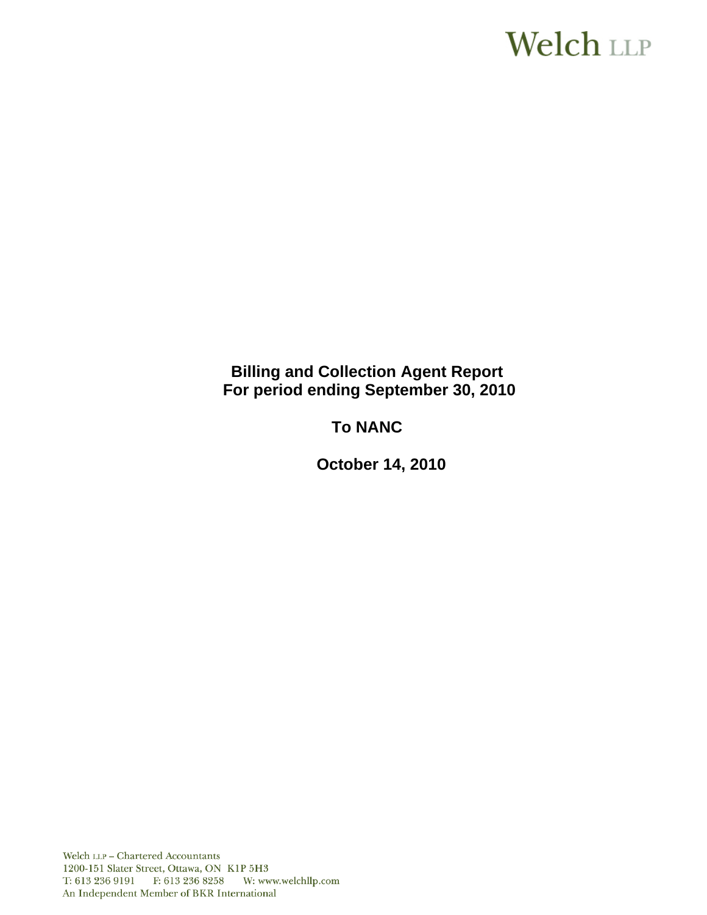# **Welch LLP**

# **Billing and Collection Agent Report For period ending September 30, 2010**

# **To NANC**

 **October 14, 2010**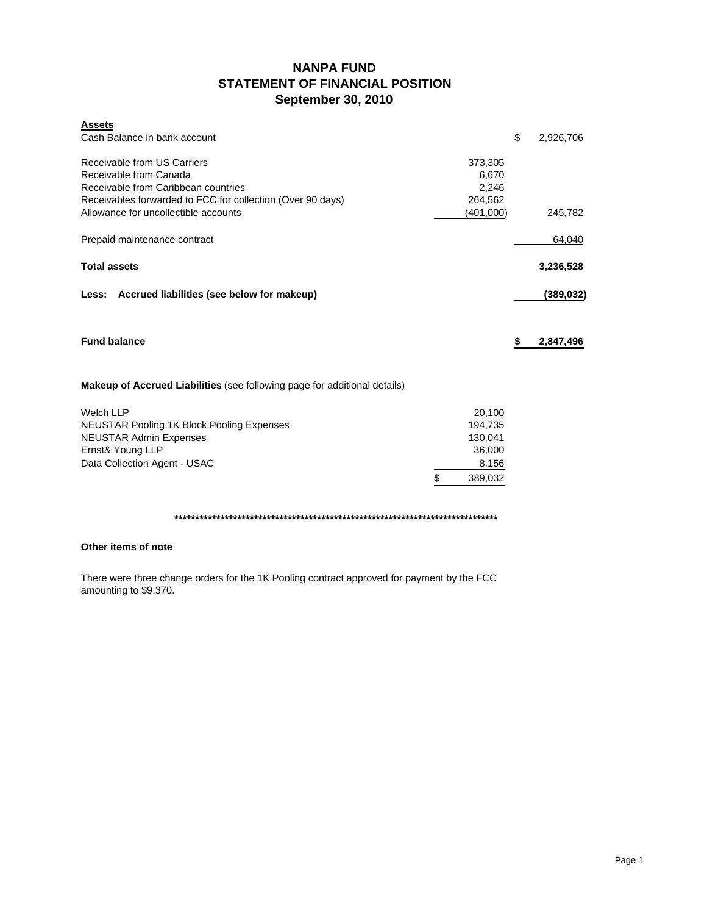# **NANPA FUND STATEMENT OF FINANCIAL POSITION September 30, 2010**

| <b>Assets</b><br>Cash Balance in bank account                                                                                                              |                                                                  | \$<br>2,926,706 |
|------------------------------------------------------------------------------------------------------------------------------------------------------------|------------------------------------------------------------------|-----------------|
| Receivable from US Carriers<br>Receivable from Canada<br>Receivable from Caribbean countries<br>Receivables forwarded to FCC for collection (Over 90 days) | 373,305<br>6,670<br>2,246<br>264,562                             |                 |
| Allowance for uncollectible accounts                                                                                                                       | (401,000)                                                        | 245,782         |
| Prepaid maintenance contract                                                                                                                               |                                                                  | 64,040          |
| <b>Total assets</b>                                                                                                                                        |                                                                  | 3,236,528       |
| Less: Accrued liabilities (see below for makeup)                                                                                                           |                                                                  | (389, 032)      |
| <b>Fund balance</b>                                                                                                                                        |                                                                  | \$<br>2,847,496 |
| <b>Makeup of Accrued Liabilities</b> (see following page for additional details)                                                                           |                                                                  |                 |
| <b>Welch LLP</b><br><b>NEUSTAR Pooling 1K Block Pooling Expenses</b><br><b>NEUSTAR Admin Expenses</b><br>Ernst& Young LLP<br>Data Collection Agent - USAC  | \$<br>20,100<br>194,735<br>130,041<br>36,000<br>8,156<br>389,032 |                 |

**\*\*\*\*\*\*\*\*\*\*\*\*\*\*\*\*\*\*\*\*\*\*\*\*\*\*\*\*\*\*\*\*\*\*\*\*\*\*\*\*\*\*\*\*\*\*\*\*\*\*\*\*\*\*\*\*\*\*\*\*\*\*\*\*\*\*\*\*\*\*\*\*\*\*\*\*\***

# **Other items of note**

There were three change orders for the 1K Pooling contract approved for payment by the FCC amounting to \$9,370.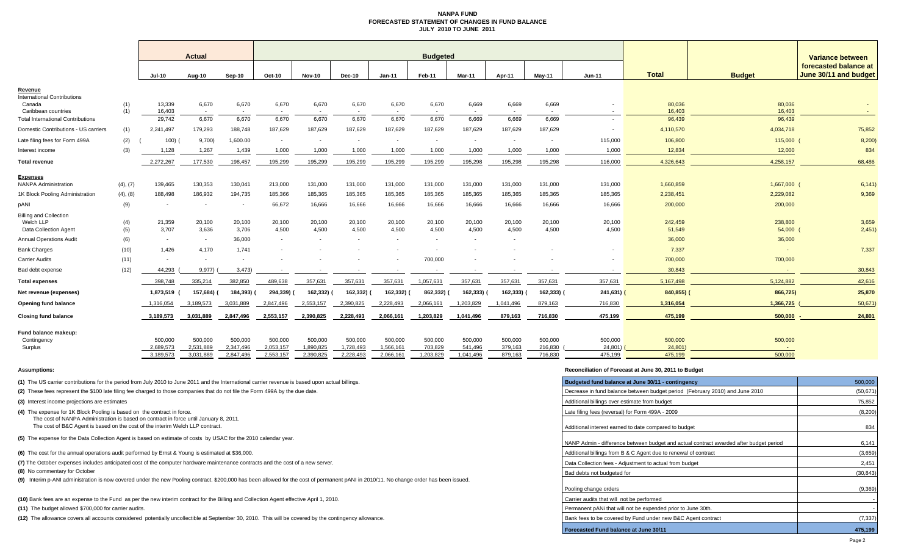#### **NANPA FUND FORECASTED STATEMENT OF CHANGES IN FUND BALANCEJULY 2010 TO JUNE 2011**

|                                                                            |            | <b>Actual</b>            |                          |                          | <b>Budgeted</b>        |                          |                        |                          |                          |                          |                          |                    |                    |                   |                   | <b>Variance between</b>                        |  |
|----------------------------------------------------------------------------|------------|--------------------------|--------------------------|--------------------------|------------------------|--------------------------|------------------------|--------------------------|--------------------------|--------------------------|--------------------------|--------------------|--------------------|-------------------|-------------------|------------------------------------------------|--|
|                                                                            |            | Jul-10                   | Aug-10                   | Sep-10                   | Oct-10                 | <b>Nov-10</b>            | <b>Dec-10</b>          | $Jan-11$                 | Feb-11                   | Mar-11                   | Apr-11                   | Mav-11             | <b>Jun-11</b>      | <b>Total</b>      | <b>Budget</b>     | forecasted balance at<br>June 30/11 and budget |  |
| Revenue                                                                    |            |                          |                          |                          |                        |                          |                        |                          |                          |                          |                          |                    |                    |                   |                   |                                                |  |
| <b>International Contributions</b><br>Canada<br>Caribbean countries        | (1)<br>(1) | 13,339<br>16,403         | 6,670<br>$\sim$          | 6,670                    | 6,670                  | 6,670<br>$\sim$          | 6,670                  | 6,670                    | 6,670                    | 6,669                    | 6,669                    | 6,669              |                    | 80,036<br>16,403  | 80,036<br>16,403  |                                                |  |
| <b>Total International Contributions</b>                                   |            | 29,742                   | 6,670                    | 6,670                    | 6,670                  | 6,670                    | 6,670                  | 6,670                    | 6,670                    | 6,669                    | 6.669                    | 6,669              |                    | 96,439            | 96,439            |                                                |  |
| Domestic Contributions - US carriers                                       | (1)        | 2,241,497                | 179,293                  | 188,748                  | 187,629                | 187,629                  | 187,629                | 187,629                  | 187,629                  | 187,629                  | 187,629                  | 187,629            |                    | 4,110,570         | 4,034,718         | 75,852                                         |  |
| Late filing fees for Form 499A                                             | (2)        | 100)                     | 9,700                    | 1,600.00                 | $\sim$                 | $\overline{\phantom{a}}$ |                        | $\overline{\phantom{a}}$ | $\overline{\phantom{a}}$ | $\overline{\phantom{a}}$ | $\overline{\phantom{a}}$ | $\sim$             | 115,000            | 106,800           | 115,000           | 8,200                                          |  |
| Interest income                                                            | (3)        | 1,128                    | 1,267                    | 1,439                    | 1,000                  | 1,000                    | 1,000                  | 1,000                    | 1,000                    | 1,000                    | 1,000                    | 1,000              | 1,000              | 12,834            | 12,000            | 834                                            |  |
| <b>Total revenue</b>                                                       |            | 2,272,267                | 177,530                  | 198.457                  | 195,299                | 195,299                  | 195,299                | 195,299                  | 195,299                  | 195,298                  | 195.298                  | 195,298            | 116,000            | 4,326,643         | 4,258,157         | 68,486                                         |  |
| <b>Expenses</b><br><b>NANPA Administration</b>                             | (4), (7)   | 139,465                  | 130,353                  | 130,041                  | 213,000                | 131,000                  | 131,000                | 131,000                  | 131,000                  | 131,000                  | 131,000                  | 131,000            | 131,000            | 1,660,859         | 1,667,000         | 6,141)                                         |  |
| 1K Block Pooling Administration                                            | (4), (8)   | 188,498                  | 186,932                  | 194,735                  | 185,366                | 185,365                  | 185,365                | 185,365                  | 185,365                  | 185,365                  | 185,365                  | 185,365            | 185,365            | 2,238,451         | 2,229,082         | 9,369                                          |  |
| pANI                                                                       | (9)        |                          | $\overline{\phantom{a}}$ | $\overline{\phantom{a}}$ | 66,672                 | 16,666                   | 16,666                 | 16,666                   | 16,666                   | 16,666                   | 16,666                   | 16,666             | 16,666             | 200,000           | 200,000           |                                                |  |
| <b>Billing and Collection</b><br>Welch LLP<br><b>Data Collection Agent</b> | (4)<br>(5) | 21,359<br>3,707          | 20,100<br>3,636          | 20,100<br>3,706          | 20,100<br>4,500        | 20,100<br>4,500          | 20,100<br>4,500        | 20,100<br>4,500          | 20,100<br>4,500          | 20,100<br>4,500          | 20,100<br>4,500          | 20,100<br>4,500    | 20,100<br>4,500    | 242,459<br>51,549 | 238,800<br>54,000 | 3,659<br>2,451)                                |  |
| <b>Annual Operations Audit</b>                                             | (6)        | $\sim$                   | $\sim$                   | 36,000                   | $\sim$                 | $\overline{\phantom{a}}$ |                        |                          | $\overline{\phantom{a}}$ |                          | $\overline{\phantom{a}}$ |                    |                    | 36,000            | 36,000            |                                                |  |
| <b>Bank Charges</b>                                                        | (10)       | 1,426                    | 4,170                    | 1.741                    |                        |                          |                        |                          |                          |                          |                          |                    |                    | 7,337             | $\blacksquare$    | 7,337                                          |  |
| Carrier Audits                                                             | (11)       | $\overline{\phantom{a}}$ | $\sim$                   | $\overline{\phantom{a}}$ |                        |                          |                        |                          | 700,000                  |                          |                          |                    |                    | 700,000           | 700,000           |                                                |  |
| Bad debt expense                                                           | (12)       | 44,293                   | 9,977                    | 3,473                    |                        |                          |                        |                          |                          |                          |                          |                    |                    | 30,843            |                   | 30,843                                         |  |
| Total expenses                                                             |            | 398,748                  | 335,214                  | 382,850                  | 489,638                | 357,631                  | 357,631                | 357,631                  | 1,057,631                | 357,631                  | 357,631                  | 357,631            | 357,631            | 5,167,498         | 5,124,882         | 42,616                                         |  |
| Net revenue (expenses)                                                     |            | 1,873,519                | 157,684)                 | 184,393)                 | 294,339)               | 162,332)                 | 162,332)               | 162,332)                 | 862,332)                 | 162,333) (               | 162,333)                 | 162,333)           | 241,631) (         | 840,855)          | 866,725)          | 25,870                                         |  |
| Opening fund balance                                                       |            | 1,316,054                | 3,189,573                | 3,031,889                | 2,847,496              | 2,553,157                | 2,390,825              | 2,228,493                | 2,066,161                | 1,203,829                | 1,041,496                | 879,163            | 716,830            | 1,316,054         | 1,366,725         | 50,671                                         |  |
| <b>Closing fund balance</b>                                                |            | 3,189,573                | 3.031.889                | 2,847,496                | 2,553,157              | 2,390,825                | 2,228,493              | 2,066,161                | 1,203,829                | 1,041,496                | 879,163                  | 716,830            | 475,199            | 475,199           | 500,000           | 24,801                                         |  |
| Fund balance makeup:<br>Contingency                                        |            | 500,000                  | 500.000                  | 500,000                  | 500,000                | 500,000                  | 500,000                | 500,000                  | 500,000                  | 500,000                  | 500,000                  | 500,000            | 500,000            | 500,000           | 500,000           |                                                |  |
| Surplus                                                                    |            | 2,689,573<br>3,189,573   | 2,531,889<br>3,031,889   | 2,347,496<br>2,847,496   | 2,053,157<br>2,553,157 | 1,890,825<br>2,390,825   | 1,728,493<br>2,228,493 | 1,566,161<br>2,066,161   | 703,829<br>1,203,829     | 541,496<br>1,041,496     | 379,163<br>879,163       | 216.830<br>716,830 | 24,801)<br>475,199 | 24,801<br>475,199 | 500,000           |                                                |  |

**(1)** The US carrier contributions for the period from July 2010 to June 2011 and the International carrier revenue is based upon actual billings.

**(2)** These fees represent the \$100 late filing fee charged to those companies that do not file the Form 499A by the due date.

**(3)** Interest income projections are estimates

**(4)** The expense for 1K Block Pooling is based on the contract in force.

The cost of NANPA Administration is based on contract in force until January 8, 2011.

The cost of B&C Agent is based on the cost of the interim Welch LLP contract.

**(5)** The expense for the Data Collection Agent is based on estimate of costs by USAC for the 2010 calendar year.

**(6)** The cost for the annual operations audit performed by Ernst & Young is estimated at \$36,000.

(7) The October expenses includes anticipated cost of the computer hardware maintenance contracts and the cost of a new server.

**(8)** No commentary for October

**(9)** Interim p-ANI administration is now covered under the new Pooling contract. \$200,000 has been allowed for the cost of permanent pANI in 2010/11. No change order has been issued.

**(10)** Bank fees are an expense to the Fund as per the new interim contract for the Billing and Collection Agent effective April 1, 2010.

**(11)** The budget allowed \$700,000 for carrier audits.

**(12)** The allowance covers all accounts considered potentially uncollectible at September 30, 2010. This will be covered by the contingency allowance.

#### **Assumptions: Reconciliation of Forecast at June 30, 2011 to Budget**

| Budgeted fund balance at June 30/11 - contingency                                      | 500,000   |
|----------------------------------------------------------------------------------------|-----------|
| Decrease in fund balance between budget period (February 2010) and June 2010           | (50, 671) |
| Additional billings over estimate from budget                                          | 75,852    |
| Late filing fees (reversal) for Form 499A - 2009                                       | (8,200)   |
| Additional interest earned to date compared to budget                                  | 834       |
| NANP Admin - difference between budget and actual contract awarded after budget period | 6,141     |
| Additional billings from B & C Agent due to renewal of contract                        | (3,659)   |
| Data Collection fees - Adjustment to actual from budget                                | 2,451     |
| Bad debts not budgeted for                                                             | (30, 843) |
| Pooling change orders                                                                  | (9,369)   |
| Carrier audits that will not be performed                                              |           |
| Permanent pANi that will not be expended prior to June 30th.                           |           |
| Bank fees to be covered by Fund under new B&C Agent contract                           | (7, 337)  |
| <b>Forecasted Fund balance at June 30/11</b>                                           | 475,199   |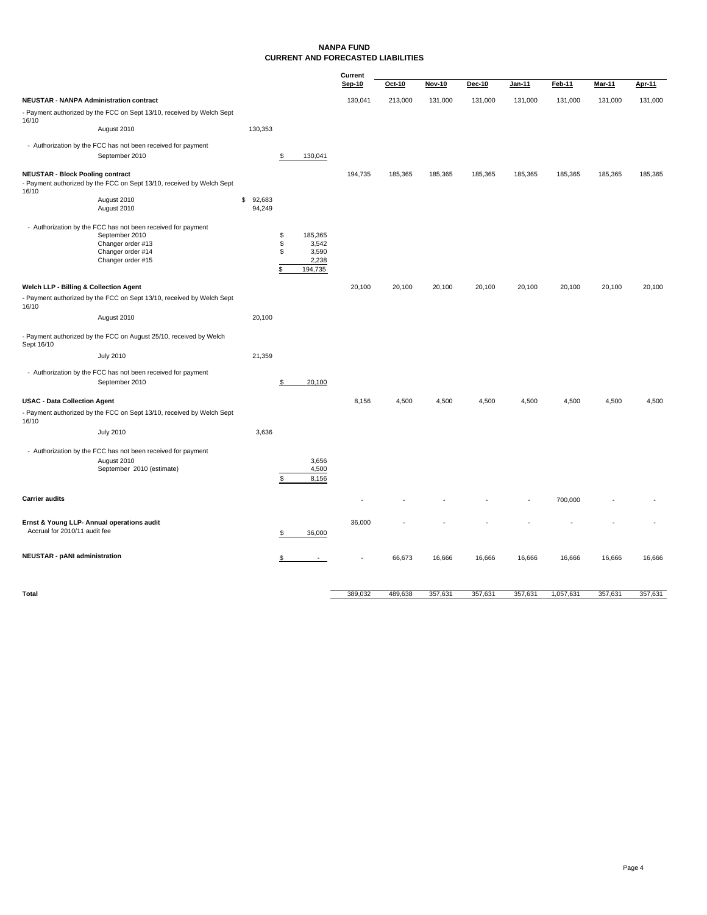### **NANPA FUND CURRENT AND FORECASTED LIABILITIES**

|                                                  |                                                                                |                        |                        | Current |         |               |         |         |           |               |         |
|--------------------------------------------------|--------------------------------------------------------------------------------|------------------------|------------------------|---------|---------|---------------|---------|---------|-----------|---------------|---------|
|                                                  |                                                                                |                        |                        | Sep-10  | Oct-10  | <b>Nov-10</b> | Dec-10  | Jan-11  | Feb-11    | <b>Mar-11</b> | Apr-11  |
| <b>NEUSTAR - NANPA Administration contract</b>   |                                                                                |                        |                        | 130,041 | 213,000 | 131,000       | 131,000 | 131,000 | 131,000   | 131,000       | 131,000 |
| 16/10                                            | - Payment authorized by the FCC on Sept 13/10, received by Welch Sept          |                        |                        |         |         |               |         |         |           |               |         |
|                                                  | August 2010                                                                    | 130,353                |                        |         |         |               |         |         |           |               |         |
|                                                  | - Authorization by the FCC has not been received for payment                   |                        |                        |         |         |               |         |         |           |               |         |
|                                                  | September 2010                                                                 |                        | \$<br>130,041          |         |         |               |         |         |           |               |         |
| <b>NEUSTAR - Block Pooling contract</b><br>16/10 | - Payment authorized by the FCC on Sept 13/10, received by Welch Sept          |                        |                        | 194,735 | 185,365 | 185,365       | 185,365 | 185,365 | 185,365   | 185,365       | 185,365 |
|                                                  | August 2010<br>August 2010                                                     | \$<br>92,683<br>94,249 |                        |         |         |               |         |         |           |               |         |
|                                                  |                                                                                |                        |                        |         |         |               |         |         |           |               |         |
|                                                  | - Authorization by the FCC has not been received for payment<br>September 2010 |                        | \$<br>185,365          |         |         |               |         |         |           |               |         |
|                                                  | Changer order #13                                                              |                        | \$<br>3,542            |         |         |               |         |         |           |               |         |
|                                                  | Changer order #14                                                              |                        | \$<br>3,590            |         |         |               |         |         |           |               |         |
|                                                  | Changer order #15                                                              |                        | \$<br>2,238<br>194,735 |         |         |               |         |         |           |               |         |
| Welch LLP - Billing & Collection Agent           |                                                                                |                        |                        | 20,100  | 20,100  | 20,100        | 20,100  | 20,100  | 20,100    | 20,100        | 20,100  |
| 16/10                                            | - Payment authorized by the FCC on Sept 13/10, received by Welch Sept          |                        |                        |         |         |               |         |         |           |               |         |
|                                                  | August 2010                                                                    | 20,100                 |                        |         |         |               |         |         |           |               |         |
| Sept 16/10                                       | - Payment authorized by the FCC on August 25/10, received by Welch             |                        |                        |         |         |               |         |         |           |               |         |
|                                                  | <b>July 2010</b>                                                               | 21,359                 |                        |         |         |               |         |         |           |               |         |
|                                                  | - Authorization by the FCC has not been received for payment                   |                        |                        |         |         |               |         |         |           |               |         |
|                                                  | September 2010                                                                 |                        | \$<br>20,100           |         |         |               |         |         |           |               |         |
| <b>USAC - Data Collection Agent</b>              |                                                                                |                        |                        | 8,156   | 4,500   | 4,500         | 4,500   | 4,500   | 4,500     | 4,500         | 4,500   |
| 16/10                                            | - Payment authorized by the FCC on Sept 13/10, received by Welch Sept          |                        |                        |         |         |               |         |         |           |               |         |
|                                                  | <b>July 2010</b>                                                               | 3,636                  |                        |         |         |               |         |         |           |               |         |
|                                                  | - Authorization by the FCC has not been received for payment                   |                        |                        |         |         |               |         |         |           |               |         |
|                                                  | August 2010<br>September 2010 (estimate)                                       |                        | 3,656<br>4,500         |         |         |               |         |         |           |               |         |
|                                                  |                                                                                |                        | \$<br>8,156            |         |         |               |         |         |           |               |         |
|                                                  |                                                                                |                        |                        |         |         |               |         |         |           |               |         |
| <b>Carrier audits</b>                            |                                                                                |                        |                        |         |         |               |         |         | 700,000   |               |         |
|                                                  | Ernst & Young LLP- Annual operations audit                                     |                        |                        | 36,000  |         |               |         |         |           |               |         |
| Accrual for 2010/11 audit fee                    |                                                                                |                        | \$<br>36,000           |         |         |               |         |         |           |               |         |
| <b>NEUSTAR - pANI administration</b>             |                                                                                |                        | \$                     |         | 66,673  | 16,666        | 16,666  | 16,666  | 16,666    | 16,666        | 16,666  |
|                                                  |                                                                                |                        |                        |         |         |               |         |         |           |               |         |
|                                                  |                                                                                |                        |                        |         |         |               |         |         |           |               |         |
| Total                                            |                                                                                |                        |                        | 389,032 | 489,638 | 357,631       | 357,631 | 357,631 | 1,057,631 | 357,631       | 357,631 |